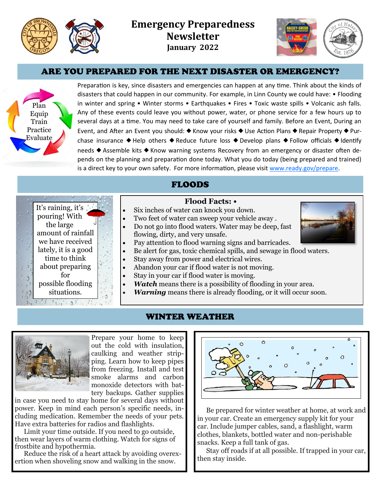

It's raining, it's  $\frac{1}{2}$ pouring! With the large amount of rainfall we have received lately, it is a good time to think about preparing for possible flooding situations.

 $9,34$   $9,9,14$   $9,9,14$ 



## ARE YOU PREPARED FOR THE NEXT DISASTER OR EMERGENCY?



Preparation is key, since disasters and emergencies can happen at any time. Think about the kinds of disasters that could happen in our community. For example, in Linn County we could have: • Flooding in winter and spring • Winter storms • Earthquakes • Fires • Toxic waste spills • Volcanic ash falls. Any of these events could leave you without power, water, or phone service for a few hours up to several days at a time. You may need to take care of yourself and family. Before an Event, During an Event, and After an Event you should: ♦ Know your risks ♦ Use Action Plans ♦ Repair Property ♦ Purchase insurance  $\blacklozenge$  Help others  $\blacklozenge$  Reduce future loss  $\blacklozenge$  Develop plans  $\blacklozenge$  Follow officials  $\blacklozenge$  Identify needs ♦ Assemble kits ♦ Know warning systems Recovery from an emergency or disaster often depends on the planning and preparation done today. What you do today (being prepared and trained) is a direct key to your own safety. For more information, please visit [www.ready.gov/prepare.](http://www.ready.gov/prepare)

## FLOODS

#### **Flood Facts: •**

- Six inches of water can knock you down.
- Two feet of water can sweep your vehicle away .
- Do not go into flood waters. Water may be deep, fast flowing, dirty, and very unsafe.
	- Pay attention to flood warning signs and barricades.
- Be alert for gas, toxic chemical spills, and sewage in flood waters.
- Stay away from power and electrical wires.
- Abandon your car if flood water is not moving.
- Stay in your car if flood water is moving.
- *Watch* means there is a possibility of flooding in your area.
	- *Warning* means there is already flooding, or it will occur soon.

### WINTER WEATHER



 $\mathfrak{I}$  $\frac{1}{2}$   $\frac{1}{2}$ 

> Prepare your home to keep out the cold with insulation, caulking and weather stripping. Learn how to keep pipes from freezing. Install and test smoke alarms and carbon monoxide detectors with battery backups. Gather supplies

in case you need to stay home for several days without power. Keep in mind each person's specific needs, including medication. Remember the needs of your pets. Have extra batteries for radios and flashlights.

Limit your time outside. If you need to go outside, then wear layers of warm clothing. Watch for signs of frostbite and hypothermia.

Reduce the risk of a heart attack by avoiding overexertion when shoveling snow and walking in the snow.



Be prepared for winter weather at home, at work and in your car. Create an emergency supply kit for your car. Include jumper cables, sand, a flashlight, warm clothes, blankets, bottled water and non-perishable snacks. Keep a full tank of gas.

Stay off roads if at all possible. If trapped in your car, then stay inside.